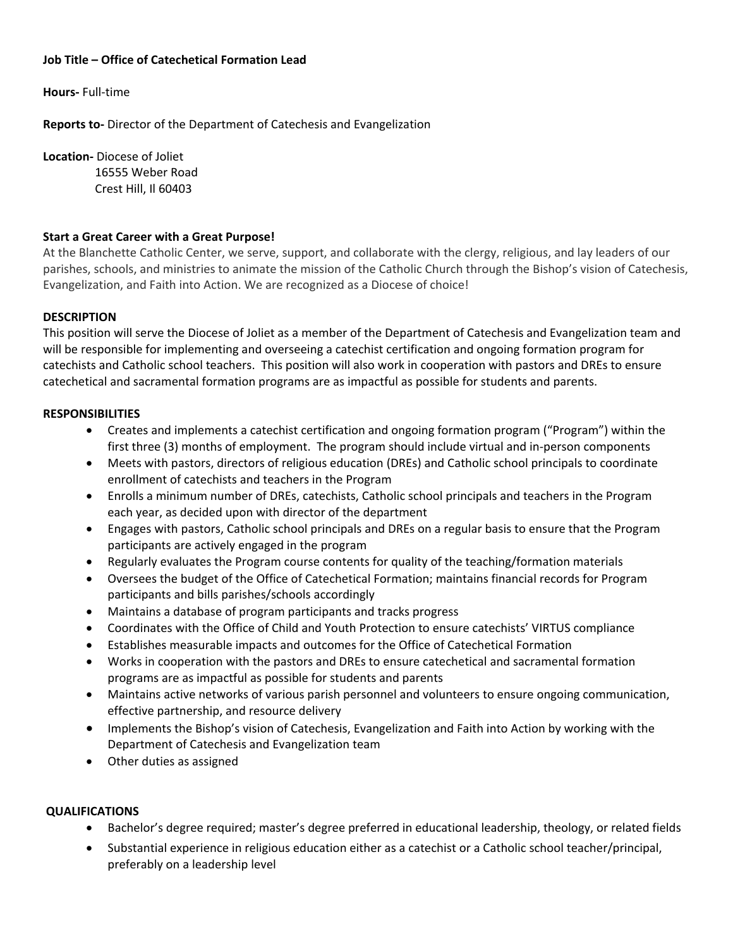## **Job Title – Office of Catechetical Formation Lead**

**Hours-** Full-time

**Reports to-** Director of the Department of Catechesis and Evangelization

**Location-** Diocese of Joliet

 16555 Weber Road Crest Hill, Il 60403

## **Start a Great Career with a Great Purpose!**

At the Blanchette Catholic Center, we serve, support, and collaborate with the clergy, religious, and lay leaders of our parishes, schools, and ministries to animate the mission of the Catholic Church through the Bishop's vision of Catechesis, Evangelization, and Faith into Action. We are recognized as a Diocese of choice!

## **DESCRIPTION**

This position will serve the Diocese of Joliet as a member of the Department of Catechesis and Evangelization team and will be responsible for implementing and overseeing a catechist certification and ongoing formation program for catechists and Catholic school teachers. This position will also work in cooperation with pastors and DREs to ensure catechetical and sacramental formation programs are as impactful as possible for students and parents.

### **RESPONSIBILITIES**

- Creates and implements a catechist certification and ongoing formation program ("Program") within the first three (3) months of employment. The program should include virtual and in-person components
- Meets with pastors, directors of religious education (DREs) and Catholic school principals to coordinate enrollment of catechists and teachers in the Program
- Enrolls a minimum number of DREs, catechists, Catholic school principals and teachers in the Program each year, as decided upon with director of the department
- Engages with pastors, Catholic school principals and DREs on a regular basis to ensure that the Program participants are actively engaged in the program
- Regularly evaluates the Program course contents for quality of the teaching/formation materials
- Oversees the budget of the Office of Catechetical Formation; maintains financial records for Program participants and bills parishes/schools accordingly
- Maintains a database of program participants and tracks progress
- Coordinates with the Office of Child and Youth Protection to ensure catechists' VIRTUS compliance
- Establishes measurable impacts and outcomes for the Office of Catechetical Formation
- Works in cooperation with the pastors and DREs to ensure catechetical and sacramental formation programs are as impactful as possible for students and parents
- Maintains active networks of various parish personnel and volunteers to ensure ongoing communication, effective partnership, and resource delivery
- Implements the Bishop's vision of Catechesis, Evangelization and Faith into Action by working with the Department of Catechesis and Evangelization team
- Other duties as assigned

## **QUALIFICATIONS**

- Bachelor's degree required; master's degree preferred in educational leadership, theology, or related fields
- Substantial experience in religious education either as a catechist or a Catholic school teacher/principal, preferably on a leadership level